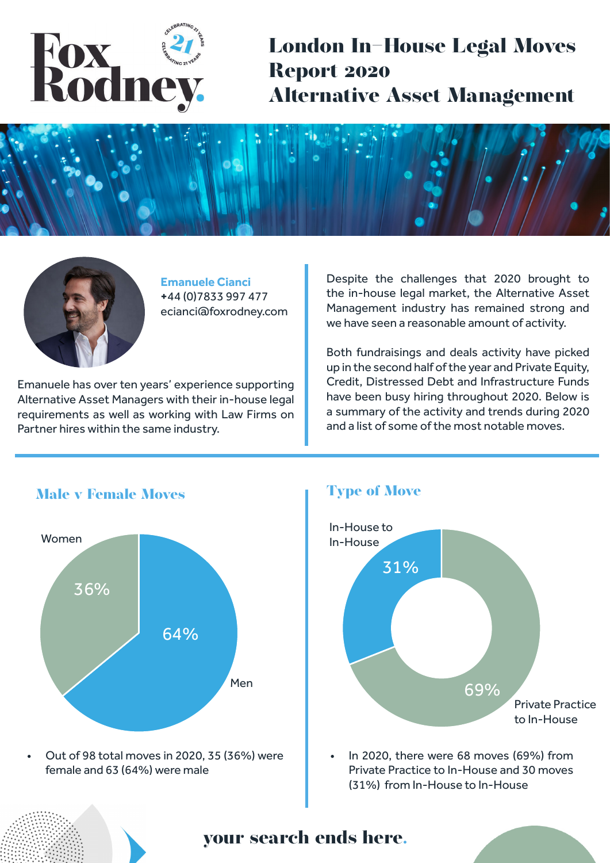

**London In-House Legal Moves Report 2020 Alternative Asset Management** 





**Emanuele Cianci +**44 (0)7833 997 477 ecianci@foxrodney.com

Emanuele has over ten years' experience supporting Alternative Asset Managers with their in-house legal requirements as well as working with Law Firms on Partner hires within the same industry.

Despite the challenges that 2020 brought to the in-house legal market, the Alternative Asset Management industry has remained strong and we have seen a reasonable amount of activity.

Both fundraisings and deals activity have picked up in the second half of the year and Private Equity, Credit, Distressed Debt and Infrastructure Funds have been busy hiring throughout 2020. Below is a summary of the activity and trends during 2020 and a list of some of the most notable moves.



**Type of Move**



• In 2020, there were 68 moves (69%) from Private Practice to In-House and 30 moves (31%) from In-House to In-House

**your search ends here.**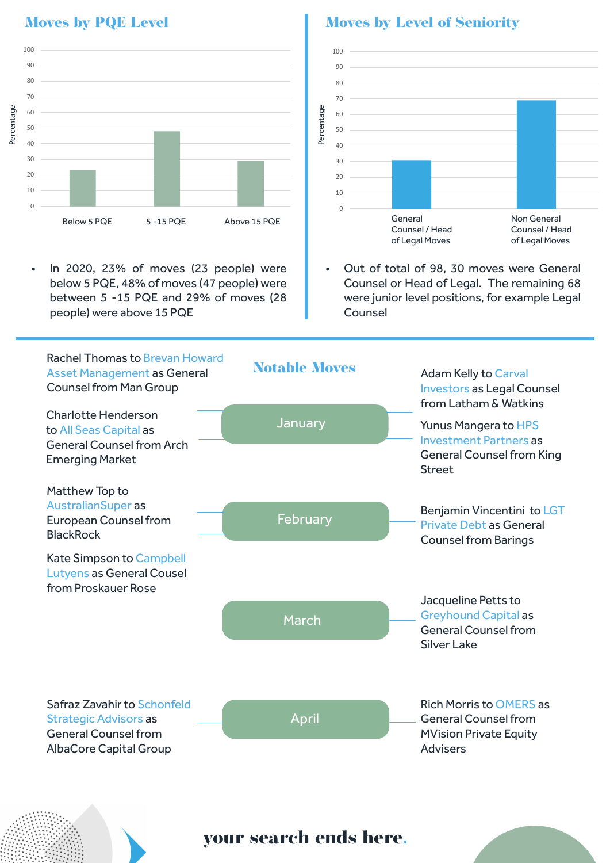

• In 2020, 23% of moves (23 people) were below 5 PQE, 48% of moves (47 people) were between 5 -15 PQE and 29% of moves (28 people) were above 15 PQE

## **Moves by PQE Level 2008 12 Moves by Level of Seniority**



• Out of total of 98, 30 moves were General Counsel or Head of Legal. The remaining 68 were junior level positions, for example Legal Counsel



**your search ends here.**